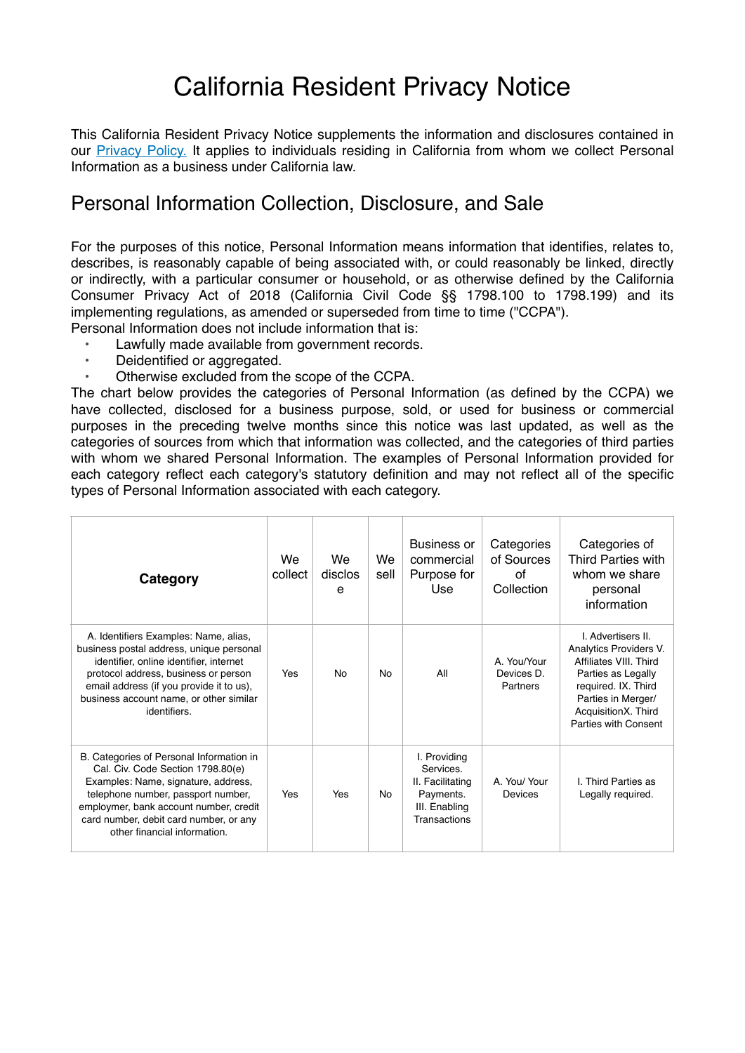# California Resident Privacy Notice

This California Resident Privacy Notice supplements the information and disclosures contained in our **Privacy Policy**. It applies to individuals residing in California from whom we collect Personal Information as a business under California law.

#### Personal Information Collection, Disclosure, and Sale

For the purposes of this notice, Personal Information means information that identifies, relates to, describes, is reasonably capable of being associated with, or could reasonably be linked, directly or indirectly, with a particular consumer or household, or as otherwise defined by the California Consumer Privacy Act of 2018 (California Civil Code §§ 1798.100 to 1798.199) and its implementing regulations, as amended or superseded from time to time ("CCPA").

- Personal Information does not include information that is: Lawfully made available from government records.
	- Deidentified or aggregated.
	- Otherwise excluded from the scope of the CCPA.

The chart below provides the categories of Personal Information (as defined by the CCPA) we have collected, disclosed for a business purpose, sold, or used for business or commercial purposes in the preceding twelve months since this notice was last updated, as well as the categories of sources from which that information was collected, and the categories of third parties with whom we shared Personal Information. The examples of Personal Information provided for each category reflect each category's statutory definition and may not reflect all of the specific types of Personal Information associated with each category.

| Category                                                                                                                                                                                                                                                                      | We<br>collect | We<br>disclos<br>e | We<br>sell | <b>Business or</b><br>commercial<br>Purpose for<br>Use                                      | Categories<br>of Sources<br>Ωf<br>Collection | Categories of<br><b>Third Parties with</b><br>whom we share<br>personal<br>information                                                                                                 |
|-------------------------------------------------------------------------------------------------------------------------------------------------------------------------------------------------------------------------------------------------------------------------------|---------------|--------------------|------------|---------------------------------------------------------------------------------------------|----------------------------------------------|----------------------------------------------------------------------------------------------------------------------------------------------------------------------------------------|
| A. Identifiers Examples: Name, alias,<br>business postal address, unique personal<br>identifier, online identifier, internet<br>protocol address, business or person<br>email address (if you provide it to us),<br>business account name, or other similar<br>identifiers.   | Yes           | No                 | No.        | All                                                                                         | A You/Your<br>Devices D<br>Partners          | I Advertisers II<br>Analytics Providers V.<br>Affiliates VIII. Third<br>Parties as Legally<br>required. IX. Third<br>Parties in Merger/<br>AcquisitionX. Third<br>Parties with Consent |
| B. Categories of Personal Information in<br>Cal. Civ. Code Section 1798.80(e)<br>Examples: Name, signature, address,<br>telephone number, passport number,<br>employmer, bank account number, credit<br>card number, debit card number, or any<br>other financial information | Yes           | Yes                | No         | I. Providing<br>Services.<br>II. Facilitating<br>Payments.<br>III. Enabling<br>Transactions | A. You/ Your<br>Devices                      | I. Third Parties as<br>Legally required.                                                                                                                                               |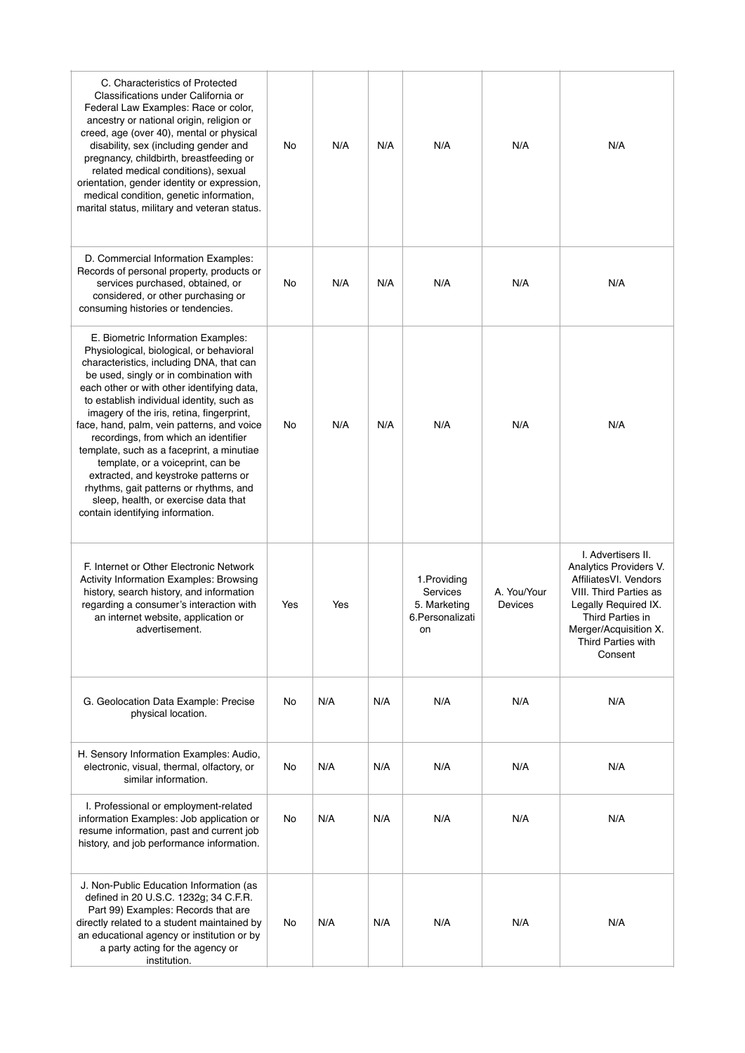| C. Characteristics of Protected<br>Classifications under California or<br>Federal Law Examples: Race or color,<br>ancestry or national origin, religion or<br>creed, age (over 40), mental or physical<br>disability, sex (including gender and<br>pregnancy, childbirth, breastfeeding or<br>related medical conditions), sexual<br>orientation, gender identity or expression,<br>medical condition, genetic information,<br>marital status, military and veteran status.                                                                                                                                                                        | No  | N/A | N/A | N/A                                                                | N/A                    | N/A                                                                                                                                                                                                          |
|----------------------------------------------------------------------------------------------------------------------------------------------------------------------------------------------------------------------------------------------------------------------------------------------------------------------------------------------------------------------------------------------------------------------------------------------------------------------------------------------------------------------------------------------------------------------------------------------------------------------------------------------------|-----|-----|-----|--------------------------------------------------------------------|------------------------|--------------------------------------------------------------------------------------------------------------------------------------------------------------------------------------------------------------|
| D. Commercial Information Examples:<br>Records of personal property, products or<br>services purchased, obtained, or<br>considered, or other purchasing or<br>consuming histories or tendencies.                                                                                                                                                                                                                                                                                                                                                                                                                                                   | No  | N/A | N/A | N/A                                                                | N/A                    | N/A                                                                                                                                                                                                          |
| E. Biometric Information Examples:<br>Physiological, biological, or behavioral<br>characteristics, including DNA, that can<br>be used, singly or in combination with<br>each other or with other identifying data,<br>to establish individual identity, such as<br>imagery of the iris, retina, fingerprint,<br>face, hand, palm, vein patterns, and voice<br>recordings, from which an identifier<br>template, such as a faceprint, a minutiae<br>template, or a voiceprint, can be<br>extracted, and keystroke patterns or<br>rhythms, gait patterns or rhythms, and<br>sleep, health, or exercise data that<br>contain identifying information. | No  | N/A | N/A | N/A                                                                | N/A                    | N/A                                                                                                                                                                                                          |
| F. Internet or Other Electronic Network<br>Activity Information Examples: Browsing<br>history, search history, and information<br>regarding a consumer's interaction with<br>an internet website, application or<br>advertisement.                                                                                                                                                                                                                                                                                                                                                                                                                 | Yes | Yes |     | 1. Providing<br>Services<br>5. Marketing<br>6. Personalizati<br>on | A. You/Your<br>Devices | I. Advertisers II.<br>Analytics Providers V.<br>AffiliatesVI. Vendors<br>VIII. Third Parties as<br>Legally Required IX.<br>Third Parties in<br>Merger/Acquisition X.<br><b>Third Parties with</b><br>Consent |
| G. Geolocation Data Example: Precise<br>physical location.                                                                                                                                                                                                                                                                                                                                                                                                                                                                                                                                                                                         | No  | N/A | N/A | N/A                                                                | N/A                    | N/A                                                                                                                                                                                                          |
| H. Sensory Information Examples: Audio,<br>electronic, visual, thermal, olfactory, or<br>similar information.                                                                                                                                                                                                                                                                                                                                                                                                                                                                                                                                      | No  | N/A | N/A | N/A                                                                | N/A                    | N/A                                                                                                                                                                                                          |
| I. Professional or employment-related<br>information Examples: Job application or<br>resume information, past and current job<br>history, and job performance information.                                                                                                                                                                                                                                                                                                                                                                                                                                                                         | No  | N/A | N/A | N/A                                                                | N/A                    | N/A                                                                                                                                                                                                          |
| J. Non-Public Education Information (as<br>defined in 20 U.S.C. 1232g; 34 C.F.R.<br>Part 99) Examples: Records that are<br>directly related to a student maintained by<br>an educational agency or institution or by<br>a party acting for the agency or<br>institution.                                                                                                                                                                                                                                                                                                                                                                           | No  | N/A | N/A | N/A                                                                | N/A                    | N/A                                                                                                                                                                                                          |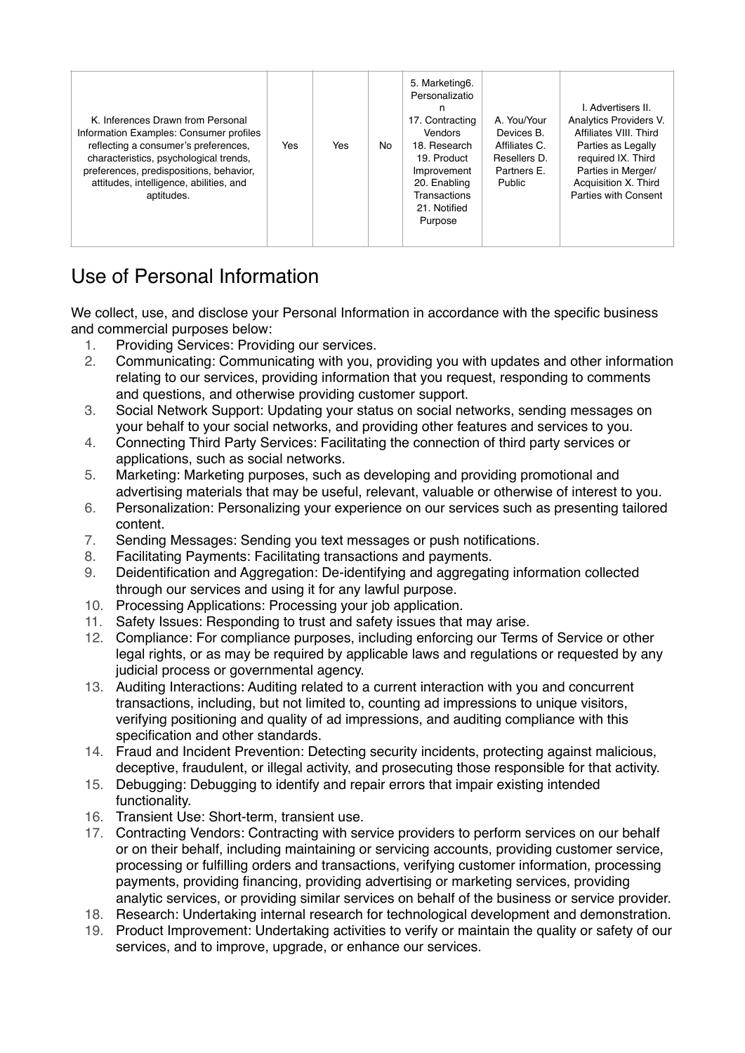| K. Inferences Drawn from Personal<br>Information Examples: Consumer profiles<br>reflecting a consumer's preferences,<br>characteristics, psychological trends,<br>preferences, predispositions, behavior,<br>attitudes, intelligence, abilities, and<br>aptitudes. | Yes | Yes | No | 5. Marketing6.<br>Personalizatio<br>n<br>17. Contracting<br><b>Vendors</b><br>18. Research<br>19. Product<br>Improvement<br>20. Enabling<br>Transactions<br>21. Notified<br>Purpose | A. You/Your<br>Devices B.<br>Affiliates C.<br>Resellers D.<br>Partners E.<br>Public | I. Advertisers II.<br><b>Analytics Providers V.</b><br>Affiliates VIII. Third<br>Parties as Legally<br>required IX. Third<br>Parties in Merger/<br>Acquisition X. Third<br>Parties with Consent |
|--------------------------------------------------------------------------------------------------------------------------------------------------------------------------------------------------------------------------------------------------------------------|-----|-----|----|-------------------------------------------------------------------------------------------------------------------------------------------------------------------------------------|-------------------------------------------------------------------------------------|-------------------------------------------------------------------------------------------------------------------------------------------------------------------------------------------------|
|--------------------------------------------------------------------------------------------------------------------------------------------------------------------------------------------------------------------------------------------------------------------|-----|-----|----|-------------------------------------------------------------------------------------------------------------------------------------------------------------------------------------|-------------------------------------------------------------------------------------|-------------------------------------------------------------------------------------------------------------------------------------------------------------------------------------------------|

## Use of Personal Information

We collect, use, and disclose your Personal Information in accordance with the specific business and commercial purposes below:

- 1. Providing Services: Providing our services.
- 2. Communicating: Communicating with you, providing you with updates and other information relating to our services, providing information that you request, responding to comments and questions, and otherwise providing customer support.
- 3. Social Network Support: Updating your status on social networks, sending messages on your behalf to your social networks, and providing other features and services to you.
- 4. Connecting Third Party Services: Facilitating the connection of third party services or applications, such as social networks.
- 5. Marketing: Marketing purposes, such as developing and providing promotional and advertising materials that may be useful, relevant, valuable or otherwise of interest to you.
- 6. Personalization: Personalizing your experience on our services such as presenting tailored content.
- 7. Sending Messages: Sending you text messages or push notifications.
- 8. Facilitating Payments: Facilitating transactions and payments.
- 9. Deidentification and Aggregation: De-identifying and aggregating information collected through our services and using it for any lawful purpose.
- 10. Processing Applications: Processing your job application.
- 11. Safety Issues: Responding to trust and safety issues that may arise.
- 12. Compliance: For compliance purposes, including enforcing our Terms of Service or other legal rights, or as may be required by applicable laws and regulations or requested by any judicial process or governmental agency.
- 13. Auditing Interactions: Auditing related to a current interaction with you and concurrent transactions, including, but not limited to, counting ad impressions to unique visitors, verifying positioning and quality of ad impressions, and auditing compliance with this specification and other standards.
- 14. Fraud and Incident Prevention: Detecting security incidents, protecting against malicious, deceptive, fraudulent, or illegal activity, and prosecuting those responsible for that activity.
- 15. Debugging: Debugging to identify and repair errors that impair existing intended functionality.
- 16. Transient Use: Short-term, transient use.
- 17. Contracting Vendors: Contracting with service providers to perform services on our behalf or on their behalf, including maintaining or servicing accounts, providing customer service, processing or fulfilling orders and transactions, verifying customer information, processing payments, providing financing, providing advertising or marketing services, providing analytic services, or providing similar services on behalf of the business or service provider.
- 18. Research: Undertaking internal research for technological development and demonstration.
- 19. Product Improvement: Undertaking activities to verify or maintain the quality or safety of our services, and to improve, upgrade, or enhance our services.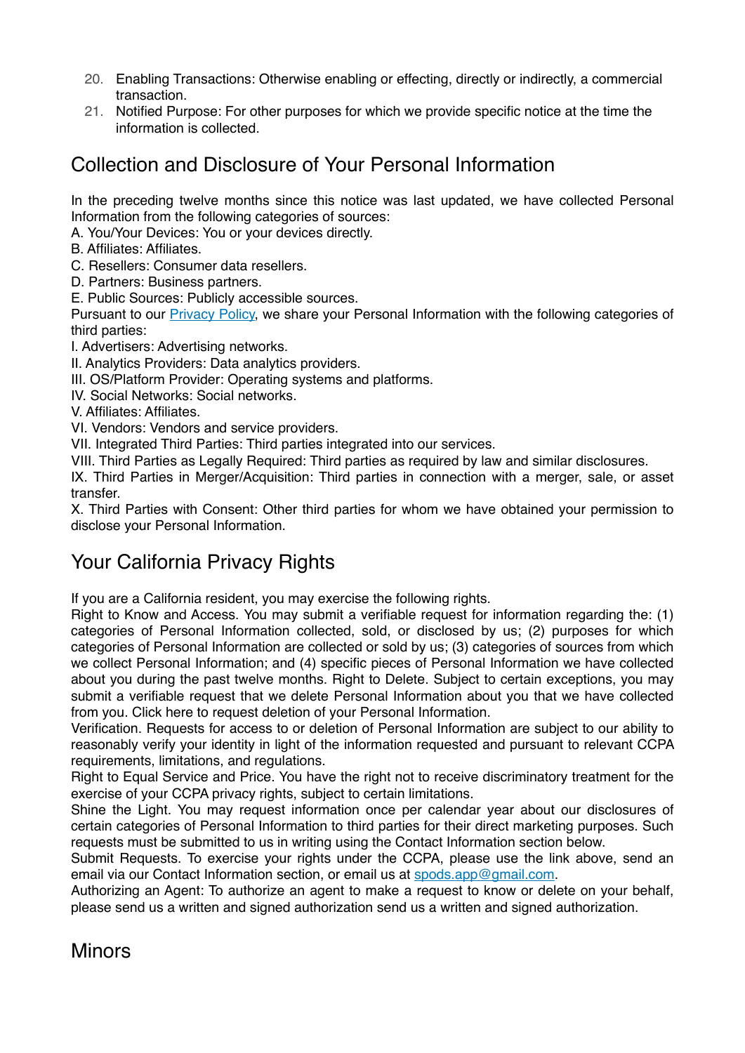- 20. Enabling Transactions: Otherwise enabling or effecting, directly or indirectly, a commercial transaction.
- 21. Notified Purpose: For other purposes for which we provide specific notice at the time the information is collected.

### Collection and Disclosure of Your Personal Information

In the preceding twelve months since this notice was last updated, we have collected Personal Information from the following categories of sources:

A. You/Your Devices: You or your devices directly.

- B. Affiliates: Affiliates.
- C. Resellers: Consumer data resellers.
- D. Partners: Business partners.
- E. Public Sources: Publicly accessible sources.

Pursuant to our [Privacy Policy,](https://dream.spods.dev/Privacy&Cookie_Policies.pdf) we share your Personal Information with the following categories of third parties:

- I. Advertisers: Advertising networks.
- II. Analytics Providers: Data analytics providers.
- III. OS/Platform Provider: Operating systems and platforms.
- IV. Social Networks: Social networks.

V. Affiliates: Affiliates.

VI. Vendors: Vendors and service providers.

VII. Integrated Third Parties: Third parties integrated into our services.

VIII. Third Parties as Legally Required: Third parties as required by law and similar disclosures.

IX. Third Parties in Merger/Acquisition: Third parties in connection with a merger, sale, or asset transfer.

X. Third Parties with Consent: Other third parties for whom we have obtained your permission to disclose your Personal Information.

#### Your California Privacy Rights

If you are a California resident, you may exercise the following rights.

Right to Know and Access. You may submit a verifiable request for information regarding the: (1) categories of Personal Information collected, sold, or disclosed by us; (2) purposes for which categories of Personal Information are collected or sold by us; (3) categories of sources from which we collect Personal Information; and (4) specific pieces of Personal Information we have collected about you during the past twelve months. Right to Delete. Subject to certain exceptions, you may submit a verifiable request that we delete Personal Information about you that we have collected from you. Click here to request deletion of your Personal Information.

Verification. Requests for access to or deletion of Personal Information are subject to our ability to reasonably verify your identity in light of the information requested and pursuant to relevant CCPA requirements, limitations, and regulations.

Right to Equal Service and Price. You have the right not to receive discriminatory treatment for the exercise of your CCPA privacy rights, subject to certain limitations.

Shine the Light. You may request information once per calendar year about our disclosures of certain categories of Personal Information to third parties for their direct marketing purposes. Such requests must be submitted to us in writing using the Contact Information section below.

Submit Requests. To exercise your rights under the CCPA, please use the link above, send an email via our Contact Information section, or email us at [spods.app@gmail.com](mailto:spods.app@gmail.com?subject=CCPA).

Authorizing an Agent: To authorize an agent to make a request to know or delete on your behalf, please send us a written and signed authorization send us a written and signed authorization.

#### **Minors**